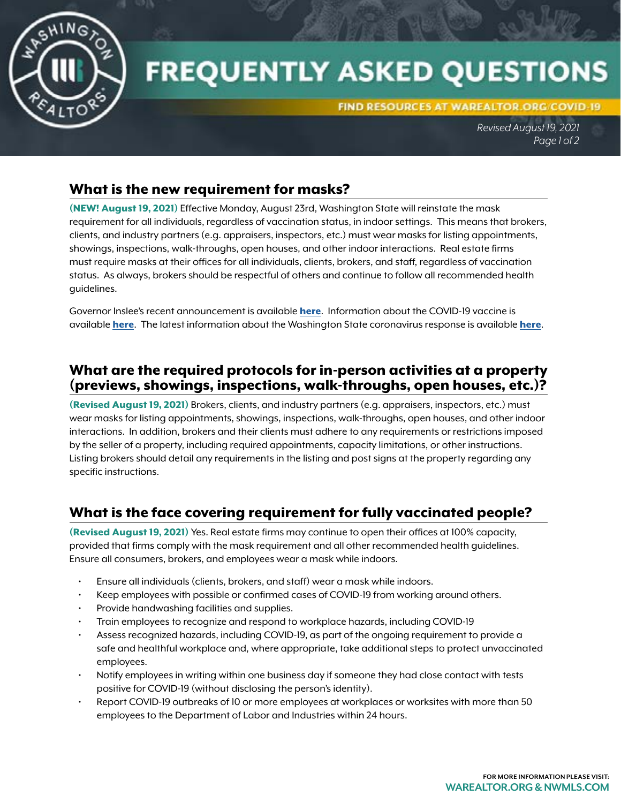

# **FREQUENTLY ASKED QUESTIONS**

FIND RESOURCES AT WAREALTOR.ORG/COVID-19

*Revised August 19, 2021 Page 1 of 2*

## What is the new requirement for masks?

(NEW! August 19, 2021) Effective Monday, August 23rd, Washington State will reinstate the mask requirement for all individuals, regardless of vaccination status, in indoor settings. This means that brokers, clients, and industry partners (e.g. appraisers, inspectors, etc.) must wear masks for listing appointments, showings, inspections, walk-throughs, open houses, and other indoor interactions. Real estate firms must require masks at their offices for all individuals, clients, brokers, and staff, regardless of vaccination status. As always, brokers should be respectful of others and continue to follow all recommended health guidelines.

Governor Inslee's recent announcement is available [here](https://medium.com/@GovInslee/inslee-announces-educator-vaccination-requirement-and-statewide-indoor-mask-mandate-a2f5a47d8a31). Information about the COVID-19 vaccine is available [here](https://coronavirus.wa.gov/). The latest information about the Washington State coronavirus response is available here.

## What are the required protocols for in-person activities at a property (previews, showings, inspections, walk-throughs, open houses, etc.)?

(Revised August 19, 2021) Brokers, clients, and industry partners (e.g. appraisers, inspectors, etc.) must wear masks for listing appointments, showings, inspections, walk-throughs, open houses, and other indoor interactions. In addition, brokers and their clients must adhere to any requirements or restrictions imposed by the seller of a property, including required appointments, capacity limitations, or other instructions. Listing brokers should detail any requirements in the listing and post signs at the property regarding any specific instructions.

# What is the face covering requirement for fully vaccinated people?

(Revised August 19, 2021) Yes. Real estate firms may continue to open their offices at 100% capacity, provided that firms comply with the mask requirement and all other recommended health guidelines. Ensure all consumers, brokers, and employees wear a mask while indoors.

- Ensure all individuals (clients, brokers, and staff) wear a mask while indoors.
- Keep employees with possible or confirmed cases of COVID-19 from working around others.
- Provide handwashing facilities and supplies.
- Train employees to recognize and respond to workplace hazards, including COVID-19
- Assess recognized hazards, including COVID-19, as part of the ongoing requirement to provide a safe and healthful workplace and, where appropriate, take additional steps to protect unvaccinated employees.
- Notify employees in writing within one business day if someone they had close contact with tests positive for COVID-19 (without disclosing the person's identity).
- Report COVID-19 outbreaks of 10 or more employees at workplaces or worksites with more than 50 employees to the Department of Labor and Industries within 24 hours.